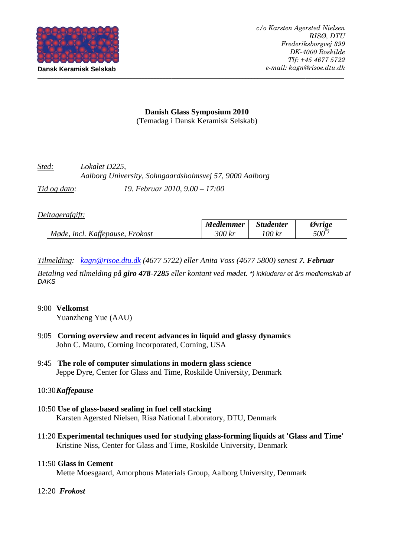

# **Danish Glass Symposium 2010**  (Temadag i Dansk Keramisk Selskab)

| Sted:        | Lokalet D225,<br>Aalborg University, Sohngaardsholmsvej 57, 9000 Aalborg |
|--------------|--------------------------------------------------------------------------|
| Tid og dato: | 19. Februar 2010, $9.00 - 17:00$                                         |

# *Deltagerafgift:*

|                                                                         | <b>Medlemmer</b> | <b>Studenter</b> | Ovrige  |
|-------------------------------------------------------------------------|------------------|------------------|---------|
| $\overline{c}$<br>Møde<br><i>Frokost</i><br><i>incl.</i><br>Kattepause, | 300 kr           | 100 1<br>Kr      | $500^*$ |

*Tilmelding: kagn@risoe.dtu.dk (4677 5722) eller Anita Voss (4677 5800) senest 7. Februar* 

*Betaling ved tilmelding på giro 478-7285 eller kontant ved mødet. \*) inkluderer et års medlemskab af DAKS*

## 9:00 **Velkomst**

Yuanzheng Yue (AAU)

- 9:05 **Corning overview and recent advances in liquid and glassy dynamics**  John C. Mauro, Corning Incorporated, Corning, USA
- 9:45 **The role of computer simulations in modern glass science** Jeppe Dyre, Center for Glass and Time, Roskilde University, Denmark

# 10:30 *Kaffepause*

- 10:50 **Use of glass-based sealing in fuel cell stacking**  Karsten Agersted Nielsen, Risø National Laboratory, DTU, Denmark
- 11:20 **Experimental techniques used for studying glass-forming liquids at 'Glass and Time'** Kristine Niss, Center for Glass and Time, Roskilde University, Denmark

## 11:50 **Glass in Cement**

Mette Moesgaard, Amorphous Materials Group, Aalborg University, Denmark

## 12:20 *Frokost*